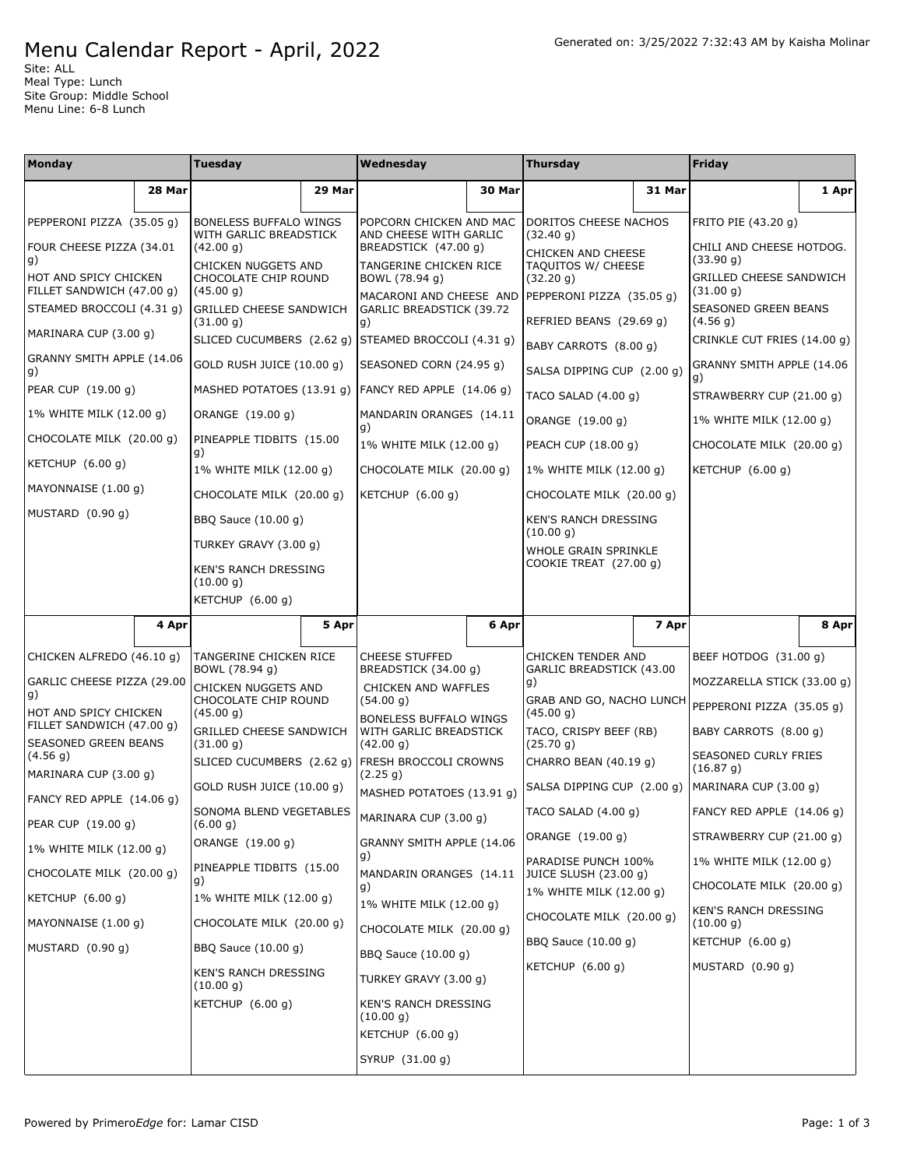## Menu Calendar Report - April, 2022

Site: ALL Meal Type: Lunch Site Group: Middle School Menu Line: 6-8 Lunch

| Monday                                             |        | Tuesday                                                  |        | Wednesday                                                                           |        | <b>Thursday</b>                                                         |        | Friday                                  |       |
|----------------------------------------------------|--------|----------------------------------------------------------|--------|-------------------------------------------------------------------------------------|--------|-------------------------------------------------------------------------|--------|-----------------------------------------|-------|
|                                                    | 28 Mar |                                                          | 29 Mar |                                                                                     | 30 Mar |                                                                         | 31 Mar |                                         | 1 Apr |
| PEPPERONI PIZZA (35.05 g)                          |        | <b>BONELESS BUFFALO WINGS</b>                            |        | POPCORN CHICKEN AND MAC                                                             |        | DORITOS CHEESE NACHOS                                                   |        | FRITO PIE (43.20 g)                     |       |
| FOUR CHEESE PIZZA (34.01<br>g)                     |        | WITH GARLIC BREADSTICK<br>(42.00 g)                      |        | AND CHEESE WITH GARLIC<br>BREADSTICK (47.00 g)                                      |        | (32.40 g)<br>CHICKEN AND CHEESE                                         |        | CHILI AND CHEESE HOTDOG.<br>(33.90 g)   |       |
| HOT AND SPICY CHICKEN<br>FILLET SANDWICH (47.00 g) |        | CHICKEN NUGGETS AND<br>CHOCOLATE CHIP ROUND<br>(45.00 g) |        | TANGERINE CHICKEN RICE<br>BOWL (78.94 g)                                            |        | TAQUITOS W/ CHEESE<br>(32.20 g)                                         |        | GRILLED CHEESE SANDWICH<br>(31.00 g)    |       |
| STEAMED BROCCOLI (4.31 g)                          |        | <b>GRILLED CHEESE SANDWICH</b><br>(31.00 g)              |        | MACARONI AND CHEESE AND PEPPERONI PIZZA (35.05 g)<br>GARLIC BREADSTICK (39.72<br>g) |        | REFRIED BEANS (29.69 g)                                                 |        | <b>SEASONED GREEN BEANS</b><br>(4.56 g) |       |
| MARINARA CUP (3.00 g)                              |        | SLICED CUCUMBERS (2.62 g) STEAMED BROCCOLI (4.31 g)      |        |                                                                                     |        | BABY CARROTS (8.00 q)                                                   |        | CRINKLE CUT FRIES (14.00 g)             |       |
| GRANNY SMITH APPLE (14.06<br>g)                    |        | GOLD RUSH JUICE (10.00 q)                                |        | SEASONED CORN (24.95 g)                                                             |        | SALSA DIPPING CUP (2.00 g)                                              |        | GRANNY SMITH APPLE (14.06<br>q)         |       |
| PEAR CUP (19.00 g)                                 |        | MASHED POTATOES (13.91 g) FANCY RED APPLE (14.06 g)      |        |                                                                                     |        | TACO SALAD (4.00 g)                                                     |        | STRAWBERRY CUP (21.00 g)                |       |
| 1% WHITE MILK (12.00 g)                            |        | ORANGE (19.00 g)                                         |        | MANDARIN ORANGES (14.11<br>g)                                                       |        | ORANGE (19.00 g)                                                        |        | 1% WHITE MILK (12.00 g)                 |       |
| CHOCOLATE MILK (20.00 g)                           |        | PINEAPPLE TIDBITS (15.00<br>g)                           |        | 1% WHITE MILK (12.00 g)                                                             |        | PEACH CUP (18.00 g)                                                     |        | CHOCOLATE MILK (20.00 g)                |       |
| KETCHUP (6.00 g)                                   |        | 1% WHITE MILK (12.00 g)                                  |        | CHOCOLATE MILK (20.00 q)                                                            |        | 1% WHITE MILK (12.00 q)                                                 |        | KETCHUP $(6.00 g)$                      |       |
| MAYONNAISE (1.00 g)                                |        | CHOCOLATE MILK (20.00 g)                                 |        | KETCHUP (6.00 g)                                                                    |        | CHOCOLATE MILK (20.00 g)                                                |        |                                         |       |
| MUSTARD (0.90 g)                                   |        | BBQ Sauce (10.00 g)                                      |        |                                                                                     |        | KEN'S RANCH DRESSING<br>(10.00 g)                                       |        |                                         |       |
|                                                    |        | TURKEY GRAVY (3.00 g)                                    |        |                                                                                     |        | WHOLE GRAIN SPRINKLE                                                    |        |                                         |       |
|                                                    |        | KEN'S RANCH DRESSING<br>(10.00 g)                        |        |                                                                                     |        | COOKIE TREAT (27.00 g)                                                  |        |                                         |       |
|                                                    |        | KETCHUP (6.00 g)                                         |        |                                                                                     |        |                                                                         |        |                                         |       |
|                                                    | 4 Apr  |                                                          | 5 Apr  |                                                                                     | 6 Apr  |                                                                         | 7 Apr  |                                         | 8 Apr |
| CHICKEN ALFREDO (46.10 g)                          |        | TANGERINE CHICKEN RICE<br>BOWL (78.94 g)                 |        | <b>CHEESE STUFFED</b><br>BREADSTICK (34.00 g)                                       |        | CHICKEN TENDER AND                                                      |        | BEEF HOTDOG (31.00 g)                   |       |
| GARLIC CHEESE PIZZA (29.00<br>g)                   |        | CHICKEN NUGGETS AND<br>CHOCOLATE CHIP ROUND<br>(45.00 g) |        | CHICKEN AND WAFFLES<br>(54.00 g)<br>BONELESS BUFFALO WINGS                          |        | GARLIC BREADSTICK (43.00<br>g)<br>GRAB AND GO, NACHO LUNCH<br>(45.00 g) |        | MOZZARELLA STICK (33.00 g)              |       |
| HOT AND SPICY CHICKEN                              |        |                                                          |        |                                                                                     |        |                                                                         |        | PEPPERONI PIZZA (35.05 g)               |       |
| FILLET SANDWICH (47.00 g)<br>SEASONED GREEN BEANS  |        | GRILLED CHEESE SANDWICH<br>(31.00 g)                     |        | WITH GARLIC BREADSTICK<br>(42.00 g)                                                 |        | TACO, CRISPY BEEF (RB)<br>(25.70 g)                                     |        | BABY CARROTS (8.00 g)                   |       |
| (4.56 g)<br>MARINARA CUP (3.00 g)                  |        | SLICED CUCUMBERS (2.62 g) FRESH BROCCOLI CROWNS          |        | (2.25 g)                                                                            |        | CHARRO BEAN (40.19 g)                                                   |        | SEASONED CURLY FRIES<br>(16.87 g)       |       |
| FANCY RED APPLE (14.06 g)                          |        | GOLD RUSH JUICE (10.00 q)                                |        | MASHED POTATOES (13.91 g)                                                           |        | SALSA DIPPING CUP (2.00 q)                                              |        | MARINARA CUP (3.00 g)                   |       |
| PEAR CUP (19.00 g)                                 |        | SONOMA BLEND VEGETABLES<br>(6.00 g)                      |        | MARINARA CUP (3.00 g)                                                               |        | TACO SALAD (4.00 g)                                                     |        | FANCY RED APPLE (14.06 g)               |       |
| 1% WHITE MILK (12.00 g)                            |        | ORANGE (19.00 g)                                         |        | GRANNY SMITH APPLE (14.06                                                           |        | ORANGE (19.00 g)                                                        |        | STRAWBERRY CUP (21.00 g)                |       |
| CHOCOLATE MILK (20.00 g)                           |        | PINEAPPLE TIDBITS (15.00<br>g)                           |        | g)<br>MANDARIN ORANGES (14.11                                                       |        | PARADISE PUNCH 100%<br>JUICE SLUSH (23.00 g)                            |        | 1% WHITE MILK (12.00 g)                 |       |
| KETCHUP (6.00 g)                                   |        | 1% WHITE MILK (12.00 g)                                  |        | g)<br>1% WHITE MILK (12.00 g)                                                       |        | 1% WHITE MILK (12.00 g)                                                 |        | CHOCOLATE MILK (20.00 g)                |       |
| MAYONNAISE (1.00 g)                                |        | CHOCOLATE MILK (20.00 g)                                 |        | CHOCOLATE MILK (20.00 g)                                                            |        | CHOCOLATE MILK (20.00 g)                                                |        | KEN'S RANCH DRESSING<br>(10.00 g)       |       |
| MUSTARD (0.90 g)                                   |        | BBQ Sauce (10.00 g)                                      |        | BBQ Sauce (10.00 g)                                                                 |        | BBQ Sauce (10.00 g)                                                     |        | KETCHUP (6.00 g)                        |       |
|                                                    |        | <b>KEN'S RANCH DRESSING</b><br>(10.00 g)                 |        | TURKEY GRAVY (3.00 g)                                                               |        | KETCHUP (6.00 g)                                                        |        | MUSTARD (0.90 g)                        |       |
|                                                    |        | KETCHUP (6.00 g)                                         |        | KEN'S RANCH DRESSING<br>(10.00 g)<br>KETCHUP (6.00 g)                               |        |                                                                         |        |                                         |       |
|                                                    |        |                                                          |        |                                                                                     |        |                                                                         |        |                                         |       |
|                                                    |        |                                                          |        | SYRUP (31.00 g)                                                                     |        |                                                                         |        |                                         |       |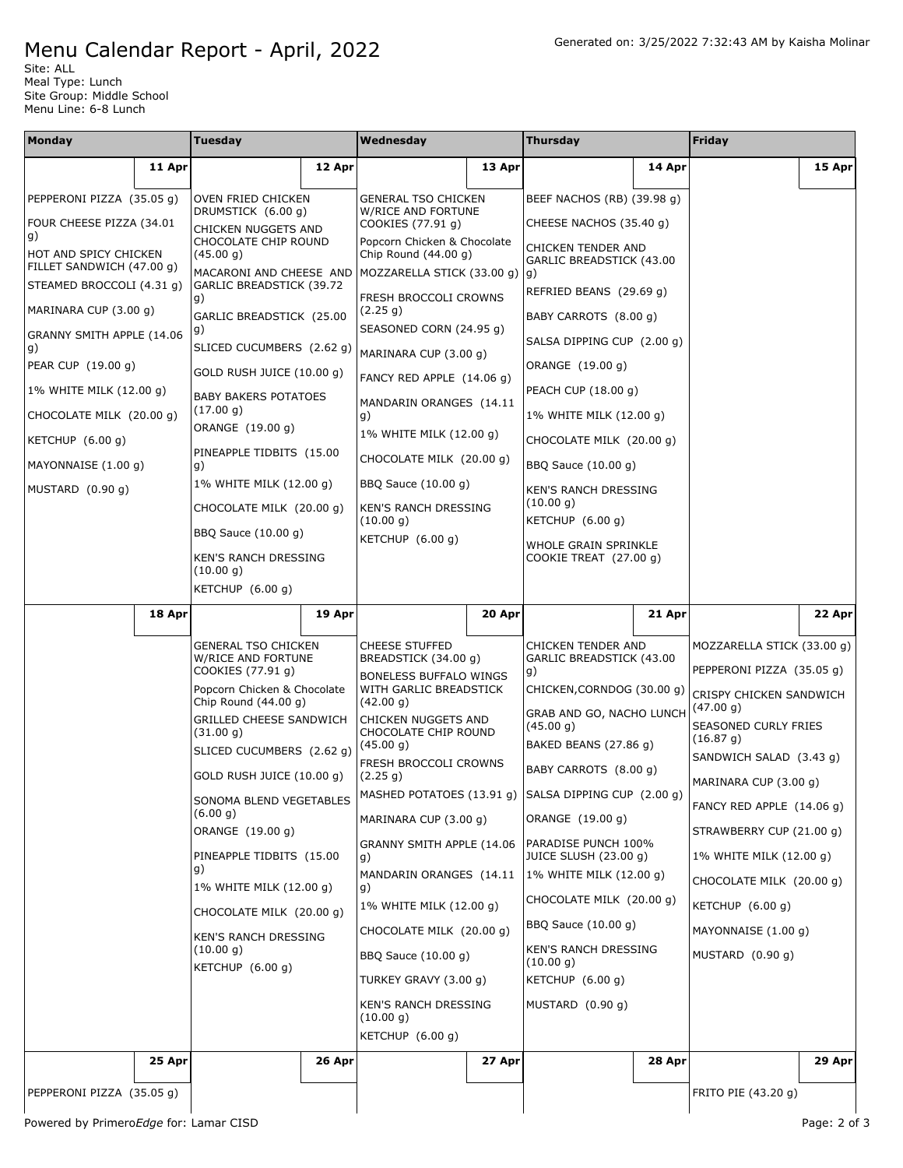## Menu Calendar Report - April, 2022

Site: ALL Meal Type: Lunch Site Group: Middle School Menu Line: 6-8 Lunch

| Monday                                             |                           | <b>Tuesday</b>                                                                                                                                                                                                                                                                                                                                                                                                |                                | Wednesday                                                                                                                                                                                                                                                                                                                                                                                                                                                                               |                         | <b>Thursday</b>                                                                                                                                                                                                                                                                                                                                                                        |                                                     | Friday                                             |        |
|----------------------------------------------------|---------------------------|---------------------------------------------------------------------------------------------------------------------------------------------------------------------------------------------------------------------------------------------------------------------------------------------------------------------------------------------------------------------------------------------------------------|--------------------------------|-----------------------------------------------------------------------------------------------------------------------------------------------------------------------------------------------------------------------------------------------------------------------------------------------------------------------------------------------------------------------------------------------------------------------------------------------------------------------------------------|-------------------------|----------------------------------------------------------------------------------------------------------------------------------------------------------------------------------------------------------------------------------------------------------------------------------------------------------------------------------------------------------------------------------------|-----------------------------------------------------|----------------------------------------------------|--------|
|                                                    | 11 Apr                    |                                                                                                                                                                                                                                                                                                                                                                                                               | 12 Apr                         |                                                                                                                                                                                                                                                                                                                                                                                                                                                                                         | 13 Apr                  |                                                                                                                                                                                                                                                                                                                                                                                        | 14 Apr                                              |                                                    | 15 Apr |
| PEPPERONI PIZZA (35.05 g)                          |                           | OVEN FRIED CHICKEN<br>DRUMSTICK (6.00 g)                                                                                                                                                                                                                                                                                                                                                                      |                                | <b>GENERAL TSO CHICKEN</b><br>W/RICE AND FORTUNE                                                                                                                                                                                                                                                                                                                                                                                                                                        |                         | BEEF NACHOS (RB) (39.98 g)                                                                                                                                                                                                                                                                                                                                                             |                                                     |                                                    |        |
| FOUR CHEESE PIZZA (34.01<br>g)                     |                           | CHICKEN NUGGETS AND<br>CHOCOLATE CHIP ROUND                                                                                                                                                                                                                                                                                                                                                                   |                                | COOKIES (77.91 g)<br>Popcorn Chicken & Chocolate                                                                                                                                                                                                                                                                                                                                                                                                                                        |                         | CHEESE NACHOS (35.40 g)<br>CHICKEN TENDER AND                                                                                                                                                                                                                                                                                                                                          |                                                     |                                                    |        |
| HOT AND SPICY CHICKEN<br>FILLET SANDWICH (47.00 g) |                           | (45.00 g)<br>MACARONI AND CHEESE AND                                                                                                                                                                                                                                                                                                                                                                          |                                | Chip Round $(44.00 g)$<br>MOZZARELLA STICK $(33.00 g)$  g)                                                                                                                                                                                                                                                                                                                                                                                                                              |                         | GARLIC BREADSTICK (43.00                                                                                                                                                                                                                                                                                                                                                               |                                                     |                                                    |        |
| STEAMED BROCCOLI (4.31 g)<br>MARINARA CUP (3.00 g) |                           | GARLIC BREADSTICK (39.72<br>g)                                                                                                                                                                                                                                                                                                                                                                                |                                | FRESH BROCCOLI CROWNS<br>(2.25 g)                                                                                                                                                                                                                                                                                                                                                                                                                                                       |                         | REFRIED BEANS (29.69 g)                                                                                                                                                                                                                                                                                                                                                                |                                                     |                                                    |        |
|                                                    | GRANNY SMITH APPLE (14.06 |                                                                                                                                                                                                                                                                                                                                                                                                               | GARLIC BREADSTICK (25.00<br>g) |                                                                                                                                                                                                                                                                                                                                                                                                                                                                                         | SEASONED CORN (24.95 g) |                                                                                                                                                                                                                                                                                                                                                                                        | BABY CARROTS (8.00 g)<br>SALSA DIPPING CUP (2.00 g) |                                                    |        |
| g)<br>PEAR CUP (19.00 g)                           |                           | SLICED CUCUMBERS (2.62 g)<br>GOLD RUSH JUICE (10.00 g)                                                                                                                                                                                                                                                                                                                                                        |                                | MARINARA CUP (3.00 g)                                                                                                                                                                                                                                                                                                                                                                                                                                                                   |                         | ORANGE (19.00 g)                                                                                                                                                                                                                                                                                                                                                                       |                                                     |                                                    |        |
| 1% WHITE MILK (12.00 g)                            |                           | <b>BABY BAKERS POTATOES</b>                                                                                                                                                                                                                                                                                                                                                                                   |                                | FANCY RED APPLE (14.06 g)                                                                                                                                                                                                                                                                                                                                                                                                                                                               |                         | PEACH CUP (18.00 g)                                                                                                                                                                                                                                                                                                                                                                    |                                                     |                                                    |        |
| CHOCOLATE MILK (20.00 g)                           |                           | (17.00 g)<br>ORANGE (19.00 g)                                                                                                                                                                                                                                                                                                                                                                                 |                                | MANDARIN ORANGES (14.11<br>g)                                                                                                                                                                                                                                                                                                                                                                                                                                                           |                         | 1% WHITE MILK (12.00 g)                                                                                                                                                                                                                                                                                                                                                                |                                                     |                                                    |        |
| KETCHUP $(6.00 q)$                                 |                           | PINEAPPLE TIDBITS (15.00                                                                                                                                                                                                                                                                                                                                                                                      |                                | 1% WHITE MILK (12.00 g)<br>CHOCOLATE MILK (20.00 g)                                                                                                                                                                                                                                                                                                                                                                                                                                     |                         | CHOCOLATE MILK (20.00 g)                                                                                                                                                                                                                                                                                                                                                               |                                                     |                                                    |        |
| MAYONNAISE (1.00 g)<br>MUSTARD (0.90 g)            |                           | g)<br>1% WHITE MILK (12.00 g)                                                                                                                                                                                                                                                                                                                                                                                 |                                | BBQ Sauce (10.00 g)                                                                                                                                                                                                                                                                                                                                                                                                                                                                     |                         | BBQ Sauce (10.00 g)<br><b>KEN'S RANCH DRESSING</b>                                                                                                                                                                                                                                                                                                                                     |                                                     |                                                    |        |
|                                                    |                           | CHOCOLATE MILK (20.00 g)                                                                                                                                                                                                                                                                                                                                                                                      |                                | KEN'S RANCH DRESSING<br>(10.00 g)                                                                                                                                                                                                                                                                                                                                                                                                                                                       |                         | (10.00 g)<br>KETCHUP (6.00 g)                                                                                                                                                                                                                                                                                                                                                          |                                                     |                                                    |        |
|                                                    |                           | BBQ Sauce (10.00 g)                                                                                                                                                                                                                                                                                                                                                                                           |                                | KETCHUP (6.00 g)                                                                                                                                                                                                                                                                                                                                                                                                                                                                        |                         | WHOLE GRAIN SPRINKLE                                                                                                                                                                                                                                                                                                                                                                   |                                                     |                                                    |        |
|                                                    |                           | KEN'S RANCH DRESSING<br>(10.00 g)<br>KETCHUP (6.00 g)                                                                                                                                                                                                                                                                                                                                                         |                                |                                                                                                                                                                                                                                                                                                                                                                                                                                                                                         |                         | COOKIE TREAT (27.00 g)                                                                                                                                                                                                                                                                                                                                                                 |                                                     |                                                    |        |
|                                                    | 18 Apr                    |                                                                                                                                                                                                                                                                                                                                                                                                               | 19 Apr                         |                                                                                                                                                                                                                                                                                                                                                                                                                                                                                         | 20 Apr                  |                                                                                                                                                                                                                                                                                                                                                                                        | 21 Apr                                              |                                                    | 22 Apr |
|                                                    |                           | <b>GENERAL TSO CHICKEN</b>                                                                                                                                                                                                                                                                                                                                                                                    |                                | <b>CHEESE STUFFED</b>                                                                                                                                                                                                                                                                                                                                                                                                                                                                   |                         | CHICKEN TENDER AND                                                                                                                                                                                                                                                                                                                                                                     |                                                     | MOZZARELLA STICK (33.00 g)                         |        |
|                                                    |                           | W/RICE AND FORTUNE<br>COOKIES (77.91 g)<br>Popcorn Chicken & Chocolate<br>Chip Round (44.00 g)<br>GRILLED CHEESE SANDWICH<br>(31.00 g)<br>SLICED CUCUMBERS (2.62 g)<br>GOLD RUSH JUICE (10.00 g)<br>SONOMA BLEND VEGETABLES<br>(6.00 g)<br>ORANGE (19.00 g)<br>PINEAPPLE TIDBITS (15.00<br>g)<br>1% WHITE MILK (12.00 g)<br>CHOCOLATE MILK (20.00 g)<br>KEN'S RANCH DRESSING<br>(10.00 g)<br>KETCHUP (6.00 g) |                                | BREADSTICK (34.00 g)<br>BONELESS BUFFALO WINGS<br>WITH GARLIC BREADSTICK<br>(42.00 g)<br>CHICKEN NUGGETS AND<br>CHOCOLATE CHIP ROUND<br>(45.00 g)<br>FRESH BROCCOLI CROWNS<br>(2.25 g)<br>MASHED POTATOES (13.91 g) SALSA DIPPING CUP (2.00 g)<br>MARINARA CUP (3.00 g)<br>GRANNY SMITH APPLE (14.06<br>g)<br>MANDARIN ORANGES (14.11<br>g)<br>1% WHITE MILK (12.00 g)<br>CHOCOLATE MILK (20.00 q)<br>BBQ Sauce (10.00 g)<br>TURKEY GRAVY (3.00 g)<br>KEN'S RANCH DRESSING<br>(10.00 g) |                         | GARLIC BREADSTICK (43.00<br>g)<br>CHICKEN, CORNDOG (30.00 g)<br>GRAB AND GO, NACHO LUNCH<br>(45.00 g)<br>BAKED BEANS (27.86 g)<br>BABY CARROTS (8.00 g)<br>ORANGE (19.00 g)<br>PARADISE PUNCH 100%<br>JUICE SLUSH (23.00 g)<br>1% WHITE MILK (12.00 g)<br>CHOCOLATE MILK (20.00 g)<br>BBQ Sauce (10.00 g)<br>KEN'S RANCH DRESSING<br>(10.00 g)<br>KETCHUP (6.00 g)<br>MUSTARD (0.90 g) |                                                     | PEPPERONI PIZZA (35.05 g)                          |        |
|                                                    |                           |                                                                                                                                                                                                                                                                                                                                                                                                               |                                |                                                                                                                                                                                                                                                                                                                                                                                                                                                                                         |                         |                                                                                                                                                                                                                                                                                                                                                                                        |                                                     | CRISPY CHICKEN SANDWICH<br>(47.00 g)               |        |
|                                                    |                           |                                                                                                                                                                                                                                                                                                                                                                                                               |                                |                                                                                                                                                                                                                                                                                                                                                                                                                                                                                         |                         |                                                                                                                                                                                                                                                                                                                                                                                        |                                                     | SEASONED CURLY FRIES<br>(16.87 g)                  |        |
|                                                    |                           |                                                                                                                                                                                                                                                                                                                                                                                                               |                                |                                                                                                                                                                                                                                                                                                                                                                                                                                                                                         |                         |                                                                                                                                                                                                                                                                                                                                                                                        |                                                     | SANDWICH SALAD (3.43 g)                            |        |
|                                                    |                           |                                                                                                                                                                                                                                                                                                                                                                                                               |                                |                                                                                                                                                                                                                                                                                                                                                                                                                                                                                         |                         |                                                                                                                                                                                                                                                                                                                                                                                        |                                                     | MARINARA CUP (3.00 g)<br>FANCY RED APPLE (14.06 q) |        |
|                                                    |                           |                                                                                                                                                                                                                                                                                                                                                                                                               |                                |                                                                                                                                                                                                                                                                                                                                                                                                                                                                                         |                         |                                                                                                                                                                                                                                                                                                                                                                                        |                                                     | STRAWBERRY CUP (21.00 q)                           |        |
|                                                    |                           |                                                                                                                                                                                                                                                                                                                                                                                                               |                                |                                                                                                                                                                                                                                                                                                                                                                                                                                                                                         |                         |                                                                                                                                                                                                                                                                                                                                                                                        |                                                     | 1% WHITE MILK (12.00 g)                            |        |
|                                                    |                           |                                                                                                                                                                                                                                                                                                                                                                                                               |                                |                                                                                                                                                                                                                                                                                                                                                                                                                                                                                         |                         |                                                                                                                                                                                                                                                                                                                                                                                        |                                                     | CHOCOLATE MILK (20.00 g)                           |        |
|                                                    |                           |                                                                                                                                                                                                                                                                                                                                                                                                               |                                |                                                                                                                                                                                                                                                                                                                                                                                                                                                                                         |                         |                                                                                                                                                                                                                                                                                                                                                                                        |                                                     | KETCHUP (6.00 g)                                   |        |
|                                                    |                           |                                                                                                                                                                                                                                                                                                                                                                                                               |                                |                                                                                                                                                                                                                                                                                                                                                                                                                                                                                         |                         |                                                                                                                                                                                                                                                                                                                                                                                        |                                                     | MAYONNAISE (1.00 g)<br>MUSTARD $(0.90 g)$          |        |
|                                                    |                           |                                                                                                                                                                                                                                                                                                                                                                                                               |                                |                                                                                                                                                                                                                                                                                                                                                                                                                                                                                         |                         |                                                                                                                                                                                                                                                                                                                                                                                        |                                                     |                                                    |        |
|                                                    |                           |                                                                                                                                                                                                                                                                                                                                                                                                               |                                |                                                                                                                                                                                                                                                                                                                                                                                                                                                                                         |                         |                                                                                                                                                                                                                                                                                                                                                                                        |                                                     |                                                    |        |
|                                                    |                           |                                                                                                                                                                                                                                                                                                                                                                                                               |                                | KETCHUP (6.00 g)                                                                                                                                                                                                                                                                                                                                                                                                                                                                        |                         |                                                                                                                                                                                                                                                                                                                                                                                        |                                                     |                                                    |        |
|                                                    | 25 Apr                    |                                                                                                                                                                                                                                                                                                                                                                                                               | 26 Apr                         |                                                                                                                                                                                                                                                                                                                                                                                                                                                                                         | 27 Apr                  |                                                                                                                                                                                                                                                                                                                                                                                        | 28 Apr                                              |                                                    | 29 Apr |
| PEPPERONI PIZZA (35.05 g)                          |                           |                                                                                                                                                                                                                                                                                                                                                                                                               |                                |                                                                                                                                                                                                                                                                                                                                                                                                                                                                                         |                         |                                                                                                                                                                                                                                                                                                                                                                                        |                                                     | FRITO PIE (43.20 g)                                |        |